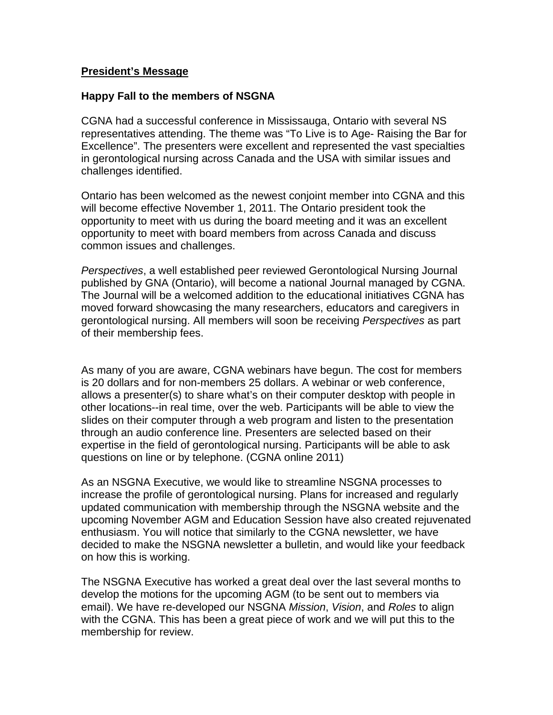## **President's Message**

## **Happy Fall to the members of NSGNA**

CGNA had a successful conference in Mississauga, Ontario with several NS representatives attending. The theme was "To Live is to Age- Raising the Bar for Excellence". The presenters were excellent and represented the vast specialties in gerontological nursing across Canada and the USA with similar issues and challenges identified.

Ontario has been welcomed as the newest conjoint member into CGNA and this will become effective November 1, 2011. The Ontario president took the opportunity to meet with us during the board meeting and it was an excellent opportunity to meet with board members from across Canada and discuss common issues and challenges.

*Perspectives*, a well established peer reviewed Gerontological Nursing Journal published by GNA (Ontario), will become a national Journal managed by CGNA. The Journal will be a welcomed addition to the educational initiatives CGNA has moved forward showcasing the many researchers, educators and caregivers in gerontological nursing. All members will soon be receiving *Perspectives* as part of their membership fees.

As many of you are aware, CGNA webinars have begun. The cost for members is 20 dollars and for non-members 25 dollars. A webinar or web conference, allows a presenter(s) to share what's on their computer desktop with people in other locations--in real time, over the web. Participants will be able to view the slides on their computer through a web program and listen to the presentation through an audio conference line. Presenters are selected based on their expertise in the field of gerontological nursing. Participants will be able to ask questions on line or by telephone. (CGNA online 2011)

As an NSGNA Executive, we would like to streamline NSGNA processes to increase the profile of gerontological nursing. Plans for increased and regularly updated communication with membership through the NSGNA website and the upcoming November AGM and Education Session have also created rejuvenated enthusiasm. You will notice that similarly to the CGNA newsletter, we have decided to make the NSGNA newsletter a bulletin, and would like your feedback on how this is working.

The NSGNA Executive has worked a great deal over the last several months to develop the motions for the upcoming AGM (to be sent out to members via email). We have re-developed our NSGNA *Mission*, *Vision*, and *Roles* to align with the CGNA. This has been a great piece of work and we will put this to the membership for review.